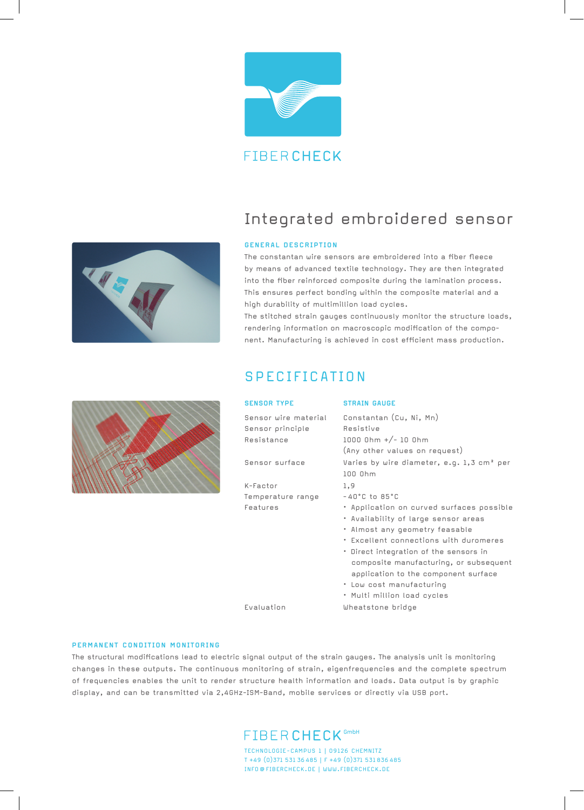

## Integrated embroidered sensor

### **GENERAL DESCRIPTION**

The constantan wire sensors are embroidered into a fiber fleece by means of advanced textile technology. They are then integrated into the fiber reinforced composite during the lamination process. This ensures perfect bonding within the composite material and a high durability of multimillion load cycles.

The stitched strain gauges continuously monitor the structure loads, rendering information on macroscopic modification of the component. Manufacturing is achieved in cost efficient mass production.

## SPECIFICATION

|  | <b>SENSOR TYPE</b>                                     | <b>STRAIN GAUGE</b>                                                                                                                                                                                                                                                                                                                                  |
|--|--------------------------------------------------------|------------------------------------------------------------------------------------------------------------------------------------------------------------------------------------------------------------------------------------------------------------------------------------------------------------------------------------------------------|
|  | Sensor wire material<br>Sensor principle<br>Resistance | Constantan (Cu, Ni, Mn)<br>Resistive<br>$1000$ Ohm $+/- 10$ Ohm<br>(Any other values on request)                                                                                                                                                                                                                                                     |
|  | Sensor surface                                         | Varies by wire diameter, e.g. 1,3 cm <sup>2</sup> per<br>$100$ $0$ <sub>hm</sub>                                                                                                                                                                                                                                                                     |
|  | K-Factor                                               | 1,9                                                                                                                                                                                                                                                                                                                                                  |
|  | Temperature range                                      | $-40^{\circ}$ C to 85 $^{\circ}$ C                                                                                                                                                                                                                                                                                                                   |
|  | Features                                               | • Application on curved surfaces possible<br>• Availability of large sensor areas<br>• Almost any geometry feasable<br>. Excellent connections with duromeres<br>• Direct integration of the sensors in<br>composite manufacturing, or subsequent<br>application to the component surface<br>• Low cost manufacturing<br>• Multi million load cycles |
|  | Fyaluation                                             | Wheatstone bridge                                                                                                                                                                                                                                                                                                                                    |



The structural modifications lead to electric signal output of the strain gauges. The analysis unit is monitoring changes in these outputs. The continuous monitoring of strain, eigenfrequencies and the complete spectrum of frequencies enables the unit to render structure health information and loads. Data output is by graphic display, and can be transmitted via 2,4GHz-ISM-Band, mobile services or directly via USB port.



TECHNOLOGIE-CAMPUS 1 | 09126 CHEMNITZ T +49 (0)371 531 36 485 | F +49 (0)371 531 836 485 INFO @ FIBERCHECK.DE | WWW.FIBERCHECK.DE



THE ALL